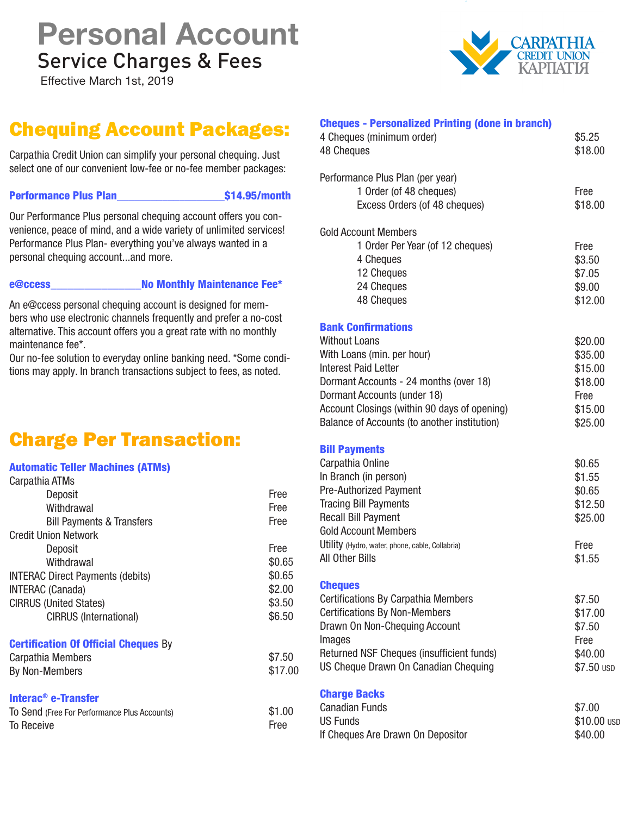# Service Charges & Fees **Personal Account**

Effective March 1st, 2019

## Chequing Account Packages:

Carpathia Credit Union can simplify your personal chequing. Just select one of our convenient low-fee or no-fee member packages:

Performance Plus Plan\_\_\_\_\_\_\_\_\_\_\_\_\_\_\_\_\_\_\_\$14.95/month

Free

Our Performance Plus personal chequing account offers you convenience, peace of mind, and a wide variety of unlimited services! Performance Plus Plan- everything you've always wanted in a personal chequing account...and more.

To Receive

e@ccess No Monthly Maintenance Fee\*

An e@ccess personal chequing account is designed for members who use electronic channels frequently and prefer a no-cost alternative. This account offers you a great rate with no monthly maintenance fee\*.

Our no-fee solution to everyday online banking need. \*Some conditions may apply. In branch transactions subject to fees, as noted.

### Charge Per Transaction:

#### Automatic Teller Machines (ATMs)

| Carpathia ATMs                               |         |
|----------------------------------------------|---------|
| Deposit                                      | Free    |
| Withdrawal                                   | Free    |
| <b>Bill Payments &amp; Transfers</b>         | Free    |
| <b>Credit Union Network</b>                  |         |
| Deposit                                      | Free    |
| Withdrawal                                   | \$0.65  |
| <b>INTERAC Direct Payments (debits)</b>      | \$0.65  |
| <b>INTERAC</b> (Canada)                      | \$2.00  |
| <b>CIRRUS (United States)</b>                | \$3.50  |
| <b>CIRRUS (International)</b>                | \$6.50  |
| <b>Certification Of Official Cheques By</b>  |         |
| Carpathia Members                            | \$7.50  |
| <b>By Non-Members</b>                        | \$17.00 |
| Interac <sup>®</sup> e-Transfer              |         |
| To Send (Free For Performance Plus Accounts) | \$1.00  |

| <b>Cheques - Personalized Printing (done in branch)</b> |             |
|---------------------------------------------------------|-------------|
| 4 Cheques (minimum order)                               | \$5.25      |
| <b>48 Cheques</b>                                       | \$18.00     |
| Performance Plus Plan (per year)                        |             |
| 1 Order (of 48 cheques)                                 | Free        |
| Excess Orders (of 48 cheques)                           | \$18.00     |
| <b>Gold Account Members</b>                             |             |
| 1 Order Per Year (of 12 cheques)                        | Free        |
| 4 Cheques                                               | \$3.50      |
| 12 Cheques                                              | \$7.05      |
| 24 Cheques                                              | \$9.00      |
| 48 Cheques                                              | \$12.00     |
| <b>Bank Confirmations</b>                               |             |
| <b>Without Loans</b>                                    | \$20.00     |
| With Loans (min. per hour)                              | \$35.00     |
| <b>Interest Paid Letter</b>                             | \$15.00     |
| Dormant Accounts - 24 months (over 18)                  | \$18.00     |
| Dormant Accounts (under 18)                             | Free        |
| Account Closings (within 90 days of opening)            | \$15.00     |
| Balance of Accounts (to another institution)            | \$25.00     |
| <b>Bill Payments</b>                                    |             |
| Carpathia Online                                        | \$0.65      |
| In Branch (in person)                                   | \$1.55      |
| <b>Pre-Authorized Payment</b>                           | \$0.65      |
| <b>Tracing Bill Payments</b>                            | \$12.50     |
| <b>Recall Bill Payment</b>                              | \$25.00     |
| <b>Gold Account Members</b>                             |             |
| Utility (Hydro, water, phone, cable, Collabria)         | Free        |
| All Other Bills                                         | \$1.55      |
| <b>Cheques</b>                                          |             |
| <b>Certifications By Carpathia Members</b>              | \$7.50      |
| <b>Certifications By Non-Members</b>                    | \$17.00     |
| Drawn On Non-Chequing Account                           | \$7.50      |
| Images                                                  | Free        |
| Returned NSF Cheques (insufficient funds)               | \$40.00     |
| US Cheque Drawn On Canadian Chequing                    | \$7.50 USD  |
| <b>Charge Backs</b>                                     |             |
| <b>Canadian Funds</b>                                   | \$7.00      |
| <b>US Funds</b>                                         | \$10.00 USD |
| If Cheques Are Drawn On Depositor                       | \$40.00     |

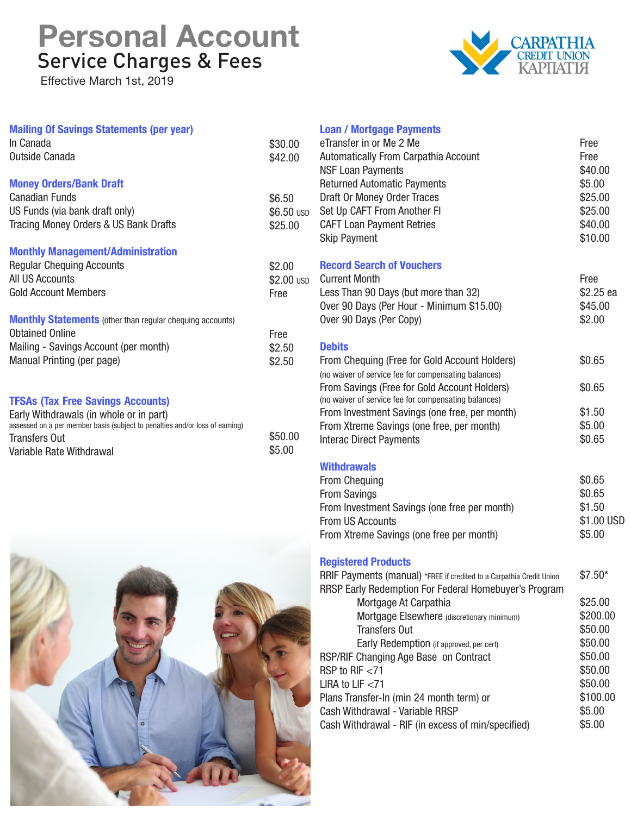# Service Charges & Fees **Personal Account**

Effective March 1st, 2019

Variable Rate Withdrawal



| <b>Mailing Of Savings Statements (per year)</b><br>In Canada<br>Outside Canada                                                                                                              | \$30.00<br>\$42.00              |
|---------------------------------------------------------------------------------------------------------------------------------------------------------------------------------------------|---------------------------------|
| <b>Money Orders/Bank Draft</b><br>Canadian Funds<br>US Funds (via bank draft only)<br>Tracing Money Orders & US Bank Drafts                                                                 | \$6.50<br>\$6.50 USD<br>\$25.00 |
| <b>Monthly Management/Administration</b><br><b>Regular Chequing Accounts</b><br>All US Accounts<br><b>Gold Account Members</b>                                                              | \$2.00<br>\$2.00 USD<br>Free    |
| <b>Monthly Statements</b> (other than regular chequing accounts)<br><b>Obtained Online</b><br>Mailing - Savings Account (per month)<br>Manual Printing (per page)                           | <b>Free</b><br>\$2.50<br>\$2.50 |
| <b>TFSAs (Tax Free Savings Accounts)</b><br>Early Withdrawals (in whole or in part)<br>assessed on a per member basis (subject to penalties and/or loss of earning)<br><b>Transfers Out</b> | \$50.00                         |

\$5.00



#### **Loan / Mortgage Payments**

| eTransfer in or Me 2 Me<br><b>Automatically From Carpathia Account</b><br><b>NSF Loan Payments</b><br><b>Returned Automatic Payments</b><br>Draft Or Money Order Traces<br>Set Up CAFT From Another FI<br><b>CAFT Loan Payment Retries</b><br><b>Skip Payment</b>                                                                               | Free<br>Free<br>\$40.00<br>\$5.00<br>\$25.00<br>\$25.00<br>\$40.00<br>\$10.00 |
|-------------------------------------------------------------------------------------------------------------------------------------------------------------------------------------------------------------------------------------------------------------------------------------------------------------------------------------------------|-------------------------------------------------------------------------------|
| <b>Record Search of Vouchers</b><br><b>Current Month</b><br>Less Than 90 Days (but more than 32)<br>Over 90 Days (Per Hour - Minimum \$15.00)<br>Over 90 Days (Per Copy)                                                                                                                                                                        | Free<br>\$2.25 ea<br>\$45.00<br>\$2.00                                        |
| <b>Debits</b><br>From Chequing (Free for Gold Account Holders)<br>(no waiver of service fee for compensating balances)<br>From Savings (Free for Gold Account Holders)                                                                                                                                                                          | \$0.65<br>\$0.65                                                              |
| (no waiver of service fee for compensating balances)<br>From Investment Savings (one free, per month)<br>From Xtreme Savings (one free, per month)<br><b>Interac Direct Payments</b>                                                                                                                                                            | \$1.50<br>\$5.00<br>\$0.65                                                    |
| <b>Withdrawals</b><br>From Chequing<br><b>From Savings</b><br>From Investment Savings (one free per month)<br><b>From US Accounts</b><br>From Xtreme Savings (one free per month)                                                                                                                                                               | \$0.65<br>\$0.65<br>\$1.50<br>\$1.00 USD<br>\$5.00                            |
| <b>Registered Products</b><br>RRIF Payments (manual) *FREE if credited to a Carpathia Credit Union<br>RRSP Early Redemption For Federal Homebuyer's Program<br>Mortgage At Carpathia<br>Mortgage Elsewhere (discretionary minimum)<br><b>Transfers Out</b><br>Early Redemption (if approved, per cert)<br>RSP/RIF Changing Age Base on Contract | $$7.50*$<br>\$25.00<br>\$200.00<br>\$50.00<br>\$50.00<br>\$50.00              |
| RSP to RIF $<$ 71<br>LIRA to LIF $<$ 71<br>Plans Transfer-In (min 24 month term) or<br>Cash Withdrawal - Variable RRSP<br>Cash Withdrawal - RIF (in excess of min/specified)                                                                                                                                                                    | \$50.00<br>\$50.00<br>\$100.00<br>\$5.00<br>\$5.00                            |